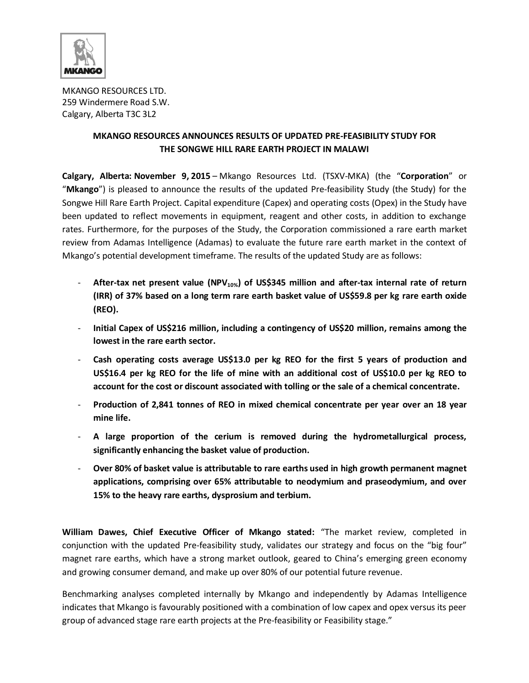

MKANGO RESOURCES LTD. 259 Windermere Road S.W. Calgary, Alberta T3C 3L2

# **MKANGO RESOURCES ANNOUNCES RESULTS OF UPDATED PRE-FEASIBILITY STUDY FOR THE SONGWE HILL RARE EARTH PROJECT IN MALAWI**

**Calgary, Alberta: November 9, 2015** – Mkango Resources Ltd. (TSXV-MKA) (the "**Corporation**" or "**Mkango**") is pleased to announce the results of the updated Pre-feasibility Study (the Study) for the Songwe Hill Rare Earth Project. Capital expenditure (Capex) and operating costs (Opex) in the Study have been updated to reflect movements in equipment, reagent and other costs, in addition to exchange rates. Furthermore, for the purposes of the Study, the Corporation commissioned a rare earth market review from Adamas Intelligence (Adamas) to evaluate the future rare earth market in the context of Mkango's potential development timeframe. The results of the updated Study are as follows:

- **After-tax net present value (NPV10%) of US\$345 million and after-tax internal rate of return (IRR) of 37% based on a long term rare earth basket value of US\$59.8 per kg rare earth oxide (REO).**
- **Initial Capex of US\$216 million, including a contingency of US\$20 million, remains among the lowest in the rare earth sector.**
- **Cash operating costs average US\$13.0 per kg REO for the first 5 years of production and US\$16.4 per kg REO for the life of mine with an additional cost of US\$10.0 per kg REO to account for the cost or discount associated with tolling or the sale of a chemical concentrate.**
- **Production of 2,841 tonnes of REO in mixed chemical concentrate per year over an 18 year mine life.**
- **A large proportion of the cerium is removed during the hydrometallurgical process, significantly enhancing the basket value of production.**
- **Over 80% of basket value is attributable to rare earths used in high growth permanent magnet applications, comprising over 65% attributable to neodymium and praseodymium, and over 15% to the heavy rare earths, dysprosium and terbium.**

**William Dawes, Chief Executive Officer of Mkango stated:** "The market review, completed in conjunction with the updated Pre-feasibility study, validates our strategy and focus on the "big four" magnet rare earths, which have a strong market outlook, geared to China's emerging green economy and growing consumer demand, and make up over 80% of our potential future revenue.

Benchmarking analyses completed internally by Mkango and independently by Adamas Intelligence indicates that Mkango is favourably positioned with a combination of low capex and opex versus its peer group of advanced stage rare earth projects at the Pre-feasibility or Feasibility stage."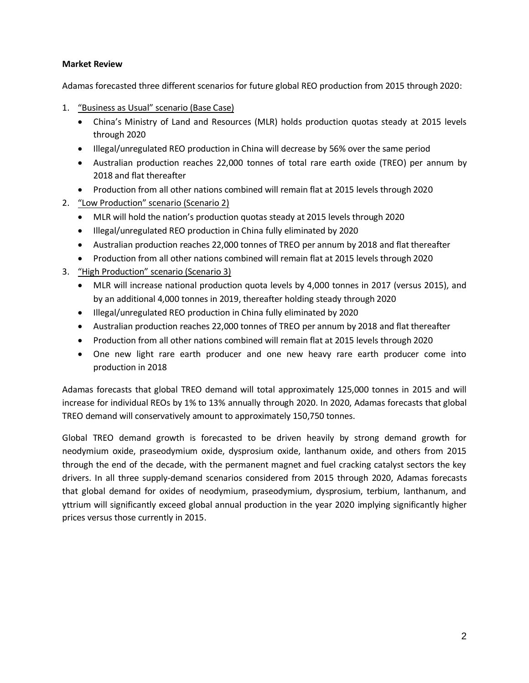### **Market Review**

Adamas forecasted three different scenarios for future global REO production from 2015 through 2020:

- 1. "Business as Usual" scenario (Base Case)
	- China's Ministry of Land and Resources (MLR) holds production quotas steady at 2015 levels through 2020
	- Illegal/unregulated REO production in China will decrease by 56% over the same period
	- Australian production reaches 22,000 tonnes of total rare earth oxide (TREO) per annum by 2018 and flat thereafter
	- Production from all other nations combined will remain flat at 2015 levels through 2020
- 2. "Low Production" scenario (Scenario 2)
	- MLR will hold the nation's production quotas steady at 2015 levels through 2020
	- Illegal/unregulated REO production in China fully eliminated by 2020
	- Australian production reaches 22,000 tonnes of TREO per annum by 2018 and flat thereafter
	- Production from all other nations combined will remain flat at 2015 levels through 2020
- 3. "High Production" scenario (Scenario 3)
	- MLR will increase national production quota levels by 4,000 tonnes in 2017 (versus 2015), and by an additional 4,000 tonnes in 2019, thereafter holding steady through 2020
	- Illegal/unregulated REO production in China fully eliminated by 2020
	- Australian production reaches 22,000 tonnes of TREO per annum by 2018 and flat thereafter
	- Production from all other nations combined will remain flat at 2015 levels through 2020
	- One new light rare earth producer and one new heavy rare earth producer come into production in 2018

Adamas forecasts that global TREO demand will total approximately 125,000 tonnes in 2015 and will increase for individual REOs by 1% to 13% annually through 2020. In 2020, Adamas forecasts that global TREO demand will conservatively amount to approximately 150,750 tonnes.

Global TREO demand growth is forecasted to be driven heavily by strong demand growth for neodymium oxide, praseodymium oxide, dysprosium oxide, lanthanum oxide, and others from 2015 through the end of the decade, with the permanent magnet and fuel cracking catalyst sectors the key drivers. In all three supply-demand scenarios considered from 2015 through 2020, Adamas forecasts that global demand for oxides of neodymium, praseodymium, dysprosium, terbium, lanthanum, and yttrium will significantly exceed global annual production in the year 2020 implying significantly higher prices versus those currently in 2015.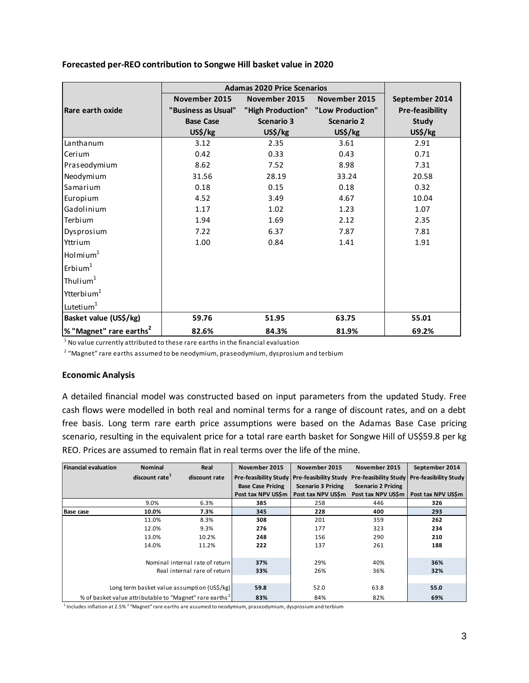|                                     | <b>Adamas 2020 Price Scenarios</b> |                   |                                    |                        |
|-------------------------------------|------------------------------------|-------------------|------------------------------------|------------------------|
|                                     | November 2015                      | November 2015     | November 2015                      | September 2014         |
| Rare earth oxide                    | "Business as Usual"                |                   | "High Production" "Low Production" | <b>Pre-feasibility</b> |
|                                     | <b>Base Case</b>                   | <b>Scenario 3</b> | <b>Scenario 2</b>                  | <b>Study</b>           |
|                                     | US\$/kg                            | US\$/kg           | US\$/kg                            | US\$/kg                |
| Lanthanum                           | 3.12                               | 2.35              | 3.61                               | 2.91                   |
| Cerium                              | 0.42                               | 0.33              | 0.43                               | 0.71                   |
| Praseodymium                        | 8.62                               | 7.52              | 8.98                               | 7.31                   |
| Neodymium                           | 31.56                              | 28.19             | 33.24                              | 20.58                  |
| Samarium                            | 0.18                               | 0.15              | 0.18                               | 0.32                   |
| Europium                            | 4.52                               | 3.49              | 4.67                               | 10.04                  |
| Gadolinium                          | 1.17                               | 1.02              | 1.23                               | 1.07                   |
| Terbium                             | 1.94                               | 1.69              | 2.12                               | 2.35                   |
| Dysprosium                          | 7.22                               | 6.37              | 7.87                               | 7.81                   |
| Yttrium                             | 1.00                               | 0.84              | 1.41                               | 1.91                   |
| $H$ ol mi um $1$                    |                                    |                   |                                    |                        |
| $\mathsf{Erbium}^1$                 |                                    |                   |                                    |                        |
| Thulium <sup>1</sup>                |                                    |                   |                                    |                        |
| Ytterbium <sup>1</sup>              |                                    |                   |                                    |                        |
| Lutetium <sup>1</sup>               |                                    |                   |                                    |                        |
| Basket value (US\$/kg)              | 59.76                              | 51.95             | 63.75                              | 55.01                  |
| % "Magnet" rare earths <sup>2</sup> | 82.6%                              | 84.3%             | 81.9%                              | 69.2%                  |

#### **Forecasted per-REO contribution to Songwe Hill basket value in 2020**

 $^{\rm 1}$  No value currently attributed to these rare earths in the financial evaluation

 $2\,$  "Magnet" rare earths assumed to be neodymium, praseodymium, dysprosium and terbium

#### **Economic Analysis**

A detailed financial model was constructed based on input parameters from the updated Study. Free cash flows were modelled in both real and nominal terms for a range of discount rates, and on a debt free basis. Long term rare earth price assumptions were based on the Adamas Base Case pricing scenario, resulting in the equivalent price for a total rare earth basket for Songwe Hill of US\$59.8 per kg REO. Prices are assumed to remain flat in real terms over the life of the mine.

| <b>Financial evaluation</b>  | <b>Nominal</b>                                                      | Real                            | November 2015                | November 2015             | November 2015             | September 2014                                |
|------------------------------|---------------------------------------------------------------------|---------------------------------|------------------------------|---------------------------|---------------------------|-----------------------------------------------|
|                              | discount rate <sup>1</sup>                                          | discount rate                   | <b>Pre-feasibility Study</b> | Pre-feasibility Study     |                           | Pre-feasibility Study   Pre-feasibility Study |
|                              |                                                                     |                                 | <b>Base Case Pricing</b>     | <b>Scenario 3 Pricing</b> | <b>Scenario 2 Pricing</b> |                                               |
|                              |                                                                     |                                 | Post tax NPV USSm            | Post tax NPV US\$m        |                           | Post tax NPV US\$m   Post tax NPV US\$m       |
|                              | 9.0%                                                                | 6.3%                            | 385                          | 258                       | 446                       | 326                                           |
| <b>Base case</b>             | 10.0%                                                               | 7.3%                            | 345                          | 228                       | 400                       | 293                                           |
|                              | 11.0%                                                               | 8.3%                            | 308                          | 201                       | 359                       | 262                                           |
|                              | 12.0%                                                               | 9.3%                            | 276                          | 177                       | 323                       | 234                                           |
|                              | 13.0%                                                               | 10.2%                           | 248                          | 156                       | 290                       | 210                                           |
|                              | 14.0%                                                               | 11.2%                           | 222                          | 137                       | 261                       | 188                                           |
|                              |                                                                     |                                 |                              |                           |                           |                                               |
|                              |                                                                     | Nominal internal rate of return | 37%                          | 29%                       | 40%                       | 36%                                           |
| Real internal rare of return |                                                                     | 33%                             | 26%                          | 36%                       | 32%                       |                                               |
|                              |                                                                     |                                 |                              |                           |                           |                                               |
|                              | Long term basket value assumption (US\$/kg)                         |                                 | 59.8                         | 52.0                      | 63.8                      | 55.0                                          |
|                              | % of basket value attributable to "Magnet" rare earths <sup>2</sup> |                                 | 83%                          | 84%                       | 82%                       | 69%                                           |

 $^{\rm 1}$  Includes inflation at 2.5%  $^{\rm 2}$  "Magnet" rare earths are assumed to neodymium, praseodymium, dysprosium and terbium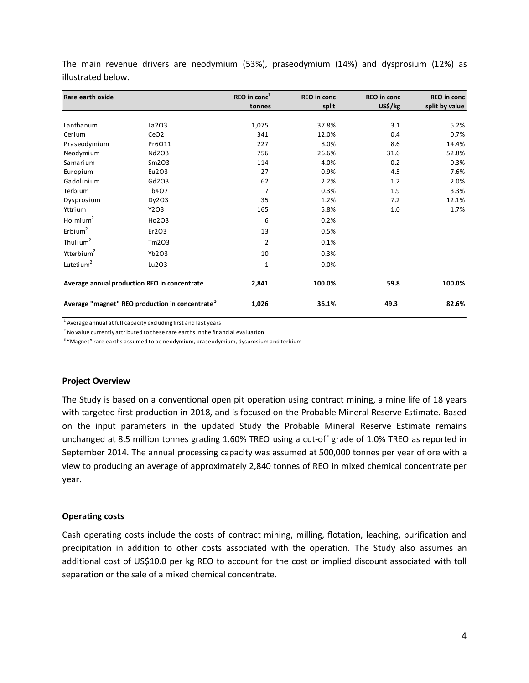| Rare earth oxide       |                                                             | REO in $\text{conc}^1$ | <b>REO</b> in conc | <b>REO</b> in conc | REO in conc    |
|------------------------|-------------------------------------------------------------|------------------------|--------------------|--------------------|----------------|
|                        |                                                             | tonnes                 | split              | US\$/kg            | split by value |
|                        |                                                             |                        |                    |                    |                |
| Lanthanum              | La 203                                                      | 1,075                  | 37.8%              | 3.1                | 5.2%           |
| Cerium                 | CeO <sub>2</sub>                                            | 341                    | 12.0%              | 0.4                | 0.7%           |
| Praseodymium           | Pr6O11                                                      | 227                    | 8.0%               | 8.6                | 14.4%          |
| Neodymium              | Nd2O3                                                       | 756                    | 26.6%              | 31.6               | 52.8%          |
| Samarium               | Sm2O3                                                       | 114                    | 4.0%               | 0.2                | 0.3%           |
| Europium               | Eu2O3                                                       | 27                     | 0.9%               | 4.5                | 7.6%           |
| Gadolinium             | Gd203                                                       | 62                     | 2.2%               | 1.2                | 2.0%           |
| Terbium                | Tb407                                                       | 7                      | 0.3%               | 1.9                | 3.3%           |
| Dysprosium             | Dy203                                                       | 35                     | 1.2%               | 7.2                | 12.1%          |
| Yttrium                | Y2O3                                                        | 165                    | 5.8%               | 1.0                | 1.7%           |
| Holmium $2$            | Ho2O3                                                       | 6                      | 0.2%               |                    |                |
| Erbium <sup>2</sup>    | Er203                                                       | 13                     | 0.5%               |                    |                |
| Thulium <sup>2</sup>   | Tm203                                                       | $\overline{2}$         | 0.1%               |                    |                |
| Ytterbium <sup>2</sup> | Yb2O3                                                       | 10                     | 0.3%               |                    |                |
| Lutetium <sup>2</sup>  | Lu203                                                       | $\mathbf{1}$           | 0.0%               |                    |                |
|                        | Average annual production REO in concentrate                | 2,841                  | 100.0%             | 59.8               | 100.0%         |
|                        | Average "magnet" REO production in concentrate <sup>3</sup> | 1,026                  | 36.1%              | 49.3               | 82.6%          |

The main revenue drivers are neodymium (53%), praseodymium (14%) and dysprosium (12%) as illustrated below.

 $^{\rm 1}$  Average annual at full capacity excluding first and last years

 $^2$  No value currently attributed to these rare earths in the financial evaluation

 $^3$  "Magnet" rare earths assumed to be neodymium, praseodymium, dysprosium and terbium

#### **Project Overview**

The Study is based on a conventional open pit operation using contract mining, a mine life of 18 years with targeted first production in 2018, and is focused on the Probable Mineral Reserve Estimate. Based on the input parameters in the updated Study the Probable Mineral Reserve Estimate remains unchanged at 8.5 million tonnes grading 1.60% TREO using a cut-off grade of 1.0% TREO as reported in September 2014. The annual processing capacity was assumed at 500,000 tonnes per year of ore with a view to producing an average of approximately 2,840 tonnes of REO in mixed chemical concentrate per year.

#### **Operating costs**

Cash operating costs include the costs of contract mining, milling, flotation, leaching, purification and precipitation in addition to other costs associated with the operation. The Study also assumes an additional cost of US\$10.0 per kg REO to account for the cost or implied discount associated with toll separation or the sale of a mixed chemical concentrate.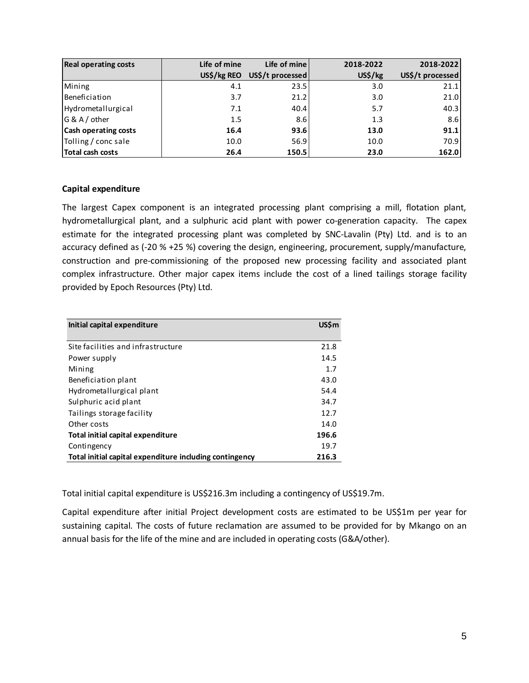| <b>Real operating costs</b> | Life of mine | Life of mine     | 2018-2022 | 2018-2022        |
|-----------------------------|--------------|------------------|-----------|------------------|
|                             | US\$/kg REO  | US\$/t processed | US\$/kg   | US\$/t processed |
| Mining                      | 4.1          | 23.5             | 3.0       | 21.1             |
| Beneficiation               | 3.7          | 21.2             | 3.0       | 21.0             |
| Hydrometallurgical          | 7.1          | 40.4             | 5.7       | 40.3             |
| G & A / other               | 1.5          | 8.6              | 1.3       | 8.6              |
| <b>Cash operating costs</b> | 16.4         | 93.6             | 13.0      | 91.1             |
| Tolling / conc sale         | 10.0         | 56.9             | 10.0      | 70.9             |
| Total cash costs            | 26.4         | 150.5            | 23.0      | 162.0            |

### **Capital expenditure**

The largest Capex component is an integrated processing plant comprising a mill, flotation plant, hydrometallurgical plant, and a sulphuric acid plant with power co-generation capacity. The capex estimate for the integrated processing plant was completed by SNC-Lavalin (Pty) Ltd. and is to an accuracy defined as (-20 % +25 %) covering the design, engineering, procurement, supply/manufacture, construction and pre-commissioning of the proposed new processing facility and associated plant complex infrastructure. Other major capex items include the cost of a lined tailings storage facility provided by Epoch Resources (Pty) Ltd.

| Initial capital expenditure                             | <b>USSm</b> |
|---------------------------------------------------------|-------------|
|                                                         |             |
| Site facilities and infrastructure                      | 21.8        |
| Power supply                                            | 14.5        |
| Mining                                                  | 1.7         |
| Beneficiation plant                                     | 43.0        |
| Hydrometallurgical plant                                | 54.4        |
| Sulphuric acid plant                                    | 34.7        |
| Tailings storage facility                               | 12.7        |
| Other costs                                             | 14.0        |
| <b>Total initial capital expenditure</b>                | 196.6       |
| Contingency                                             | 19.7        |
| Total initial capital expenditure including contingency | 216.3       |

Total initial capital expenditure is US\$216.3m including a contingency of US\$19.7m.

Capital expenditure after initial Project development costs are estimated to be US\$1m per year for sustaining capital. The costs of future reclamation are assumed to be provided for by Mkango on an annual basis for the life of the mine and are included in operating costs (G&A/other).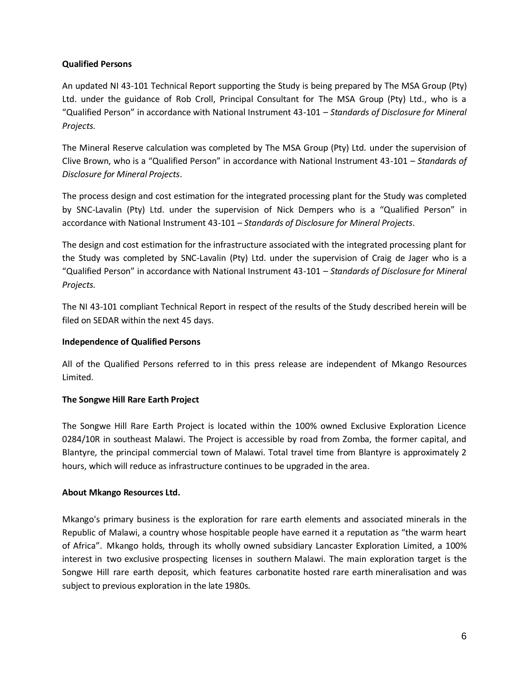### **Qualified Persons**

An updated NI 43-101 Technical Report supporting the Study is being prepared by The MSA Group (Pty) Ltd. under the guidance of Rob Croll, Principal Consultant for The MSA Group (Pty) Ltd., who is a "Qualified Person" in accordance with National Instrument 43-101 – *Standards of Disclosure for Mineral Projects*.

The Mineral Reserve calculation was completed by The MSA Group (Pty) Ltd. under the supervision of Clive Brown, who is a "Qualified Person" in accordance with National Instrument 43-101 – *Standards of Disclosure for Mineral Projects*.

The process design and cost estimation for the integrated processing plant for the Study was completed by SNC-Lavalin (Pty) Ltd. under the supervision of Nick Dempers who is a "Qualified Person" in accordance with National Instrument 43-101 – *Standards of Disclosure for Mineral Projects*.

The design and cost estimation for the infrastructure associated with the integrated processing plant for the Study was completed by SNC-Lavalin (Pty) Ltd. under the supervision of Craig de Jager who is a "Qualified Person" in accordance with National Instrument 43-101 – *Standards of Disclosure for Mineral Projects*.

The NI 43-101 compliant Technical Report in respect of the results of the Study described herein will be filed on SEDAR within the next 45 days.

### **Independence of Qualified Persons**

All of the Qualified Persons referred to in this press release are independent of Mkango Resources Limited.

## **The Songwe Hill Rare Earth Project**

The Songwe Hill Rare Earth Project is located within the 100% owned Exclusive Exploration Licence 0284/10R in southeast Malawi. The Project is accessible by road from Zomba, the former capital, and Blantyre, the principal commercial town of Malawi. Total travel time from Blantyre is approximately 2 hours, which will reduce as infrastructure continues to be upgraded in the area.

### **About Mkango Resources Ltd.**

Mkango's primary business is the exploration for rare earth elements and associated minerals in the Republic of Malawi, a country whose hospitable people have earned it a reputation as "the warm heart of Africa". Mkango holds, through its wholly owned subsidiary Lancaster Exploration Limited, a 100% interest in two exclusive prospecting licenses in southern Malawi. The main exploration target is the Songwe Hill rare earth deposit, which features carbonatite hosted rare earth mineralisation and was subject to previous exploration in the late 1980s.